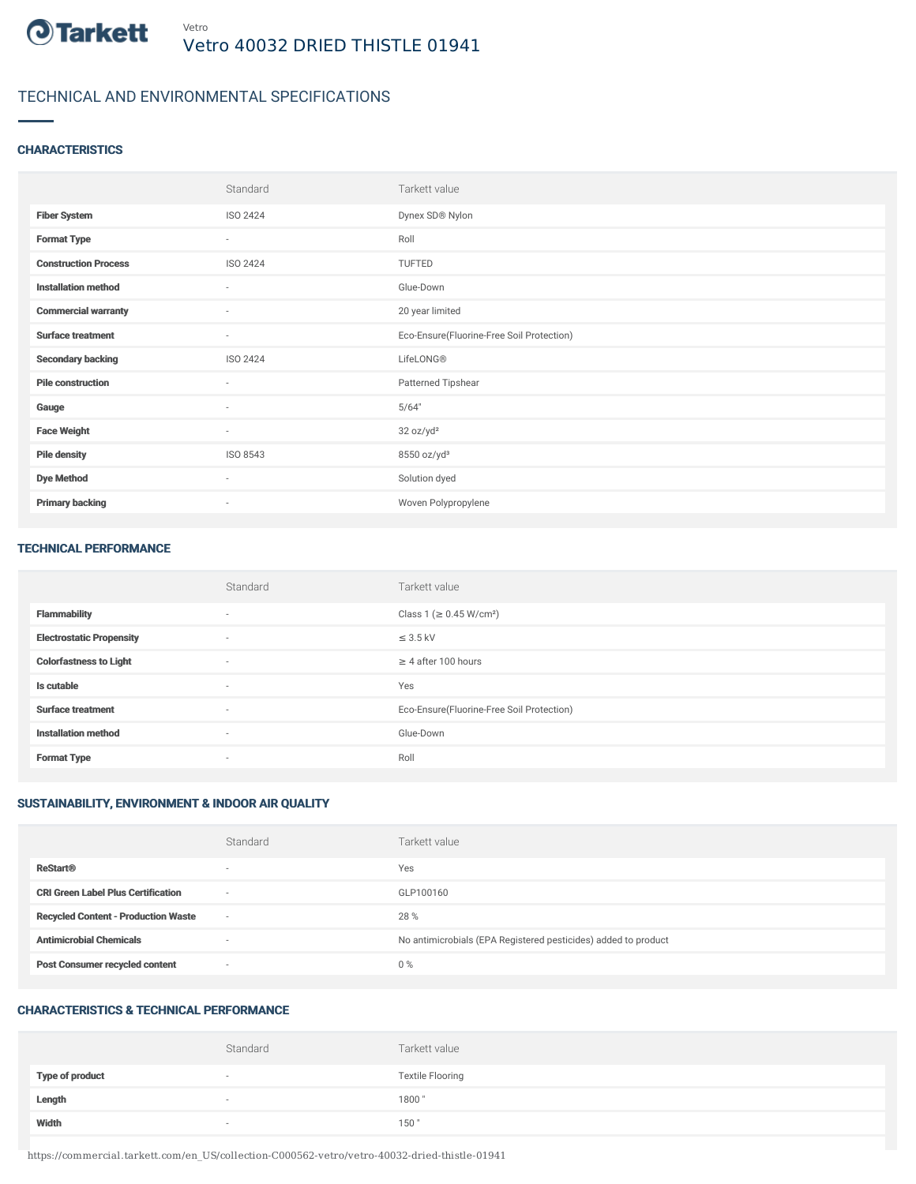

# TECHNICAL AND ENVIRONMENTAL SPECIFICATIONS

## **CHARACTERISTICS**

|                             | Standard                 | Tarkett value                             |
|-----------------------------|--------------------------|-------------------------------------------|
| <b>Fiber System</b>         | ISO 2424                 | Dynex SD® Nylon                           |
| <b>Format Type</b>          | $\sim$                   | Roll                                      |
| <b>Construction Process</b> | ISO 2424                 | TUFTED                                    |
| <b>Installation method</b>  | $\sim$                   | Glue-Down                                 |
| <b>Commercial warranty</b>  | $\sim$                   | 20 year limited                           |
| <b>Surface treatment</b>    | $\sim$                   | Eco-Ensure(Fluorine-Free Soil Protection) |
| <b>Secondary backing</b>    | ISO 2424                 | LifeLONG®                                 |
| <b>Pile construction</b>    | $\sim$                   | Patterned Tipshear                        |
| Gauge                       | $\overline{\phantom{a}}$ | 5/64"                                     |
| <b>Face Weight</b>          | $\sim$                   | 32 oz/yd <sup>2</sup>                     |
| <b>Pile density</b>         | ISO 8543                 | 8550 oz/yd <sup>3</sup>                   |
| <b>Dye Method</b>           | $\sim$                   | Solution dyed                             |
| <b>Primary backing</b>      | $\sim$                   | Woven Polypropylene                       |

#### TECHNICAL PERFORMANCE

|                                 | Standard                 | Tarkett value                             |
|---------------------------------|--------------------------|-------------------------------------------|
| <b>Flammability</b>             | $\sim$                   | Class 1 (≥ 0.45 W/cm <sup>2</sup> )       |
| <b>Electrostatic Propensity</b> | $\overline{\phantom{a}}$ | $\leq$ 3.5 kV                             |
| <b>Colorfastness to Light</b>   | $\sim$                   | $\geq$ 4 after 100 hours                  |
| Is cutable                      | $\sim$                   | Yes                                       |
| <b>Surface treatment</b>        | $\sim$                   | Eco-Ensure(Fluorine-Free Soil Protection) |
| <b>Installation method</b>      | $\sim$                   | Glue-Down                                 |
| <b>Format Type</b>              | $\sim$                   | Roll                                      |

# SUSTAINABILITY, ENVIRONMENT & INDOOR AIR QUALITY

|                                            | Standard                 | Tarkett value                                                  |
|--------------------------------------------|--------------------------|----------------------------------------------------------------|
| <b>ReStart®</b>                            | $\overline{\phantom{a}}$ | Yes                                                            |
| <b>CRI Green Label Plus Certification</b>  | $\overline{\phantom{a}}$ | GLP100160                                                      |
| <b>Recycled Content - Production Waste</b> | $\sim$                   | 28 %                                                           |
| <b>Antimicrobial Chemicals</b>             | ۰                        | No antimicrobials (EPA Registered pesticides) added to product |
| <b>Post Consumer recycled content</b>      | $\overline{\phantom{a}}$ | $0\%$                                                          |

## CHARACTERISTICS & TECHNICAL PERFORMANCE

|                        | Standard                 | Tarkett value           |
|------------------------|--------------------------|-------------------------|
| <b>Type of product</b> |                          | <b>Textile Flooring</b> |
| Length                 | $\overline{\phantom{a}}$ | 1800                    |
| Width                  |                          | 150                     |

https://commercial.tarkett.com/en\_US/collection-C000562-vetro/vetro-40032-dried-thistle-01941